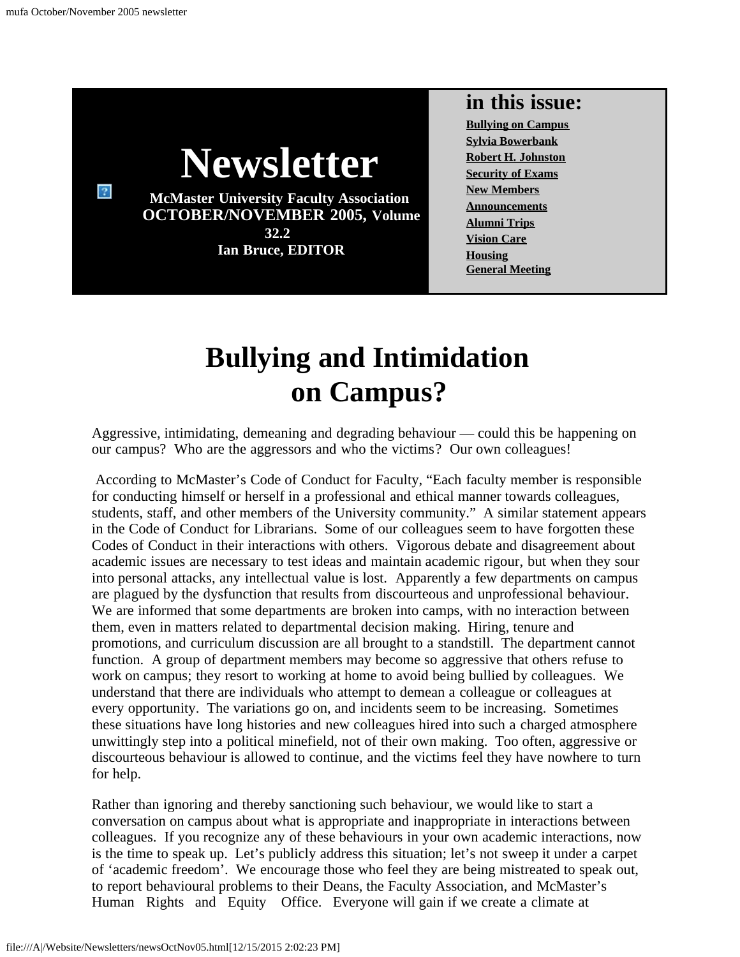$\sqrt{2}$ 



**OCTOBER/NOVEMBER 2005, Volume 32.2 Ian Bruce, EDITOR**

### **in this issue:**

**[Bullying on Campus](#page-0-0) [Sylvia Bowerbank](#page-1-0) [Robert H. Johnston](#page-3-0) [Security of Exams](#page-6-0) [New Members](#page-7-0) [Announcements](#page-7-1) [Alumni Trips](#page-8-0) [Vision Care](#page-9-0) [Housing](#page-9-1) [General Meeting](#page-9-2)**

# **Bullying and Intimidation on Campus?**

<span id="page-0-0"></span>Aggressive, intimidating, demeaning and degrading behaviour — could this be happening on our campus? Who are the aggressors and who the victims? Our own colleagues!

According to McMaster's Code of Conduct for Faculty, "Each faculty member is responsible for conducting himself or herself in a professional and ethical manner towards colleagues, students, staff, and other members of the University community." A similar statement appears in the Code of Conduct for Librarians. Some of our colleagues seem to have forgotten these Codes of Conduct in their interactions with others. Vigorous debate and disagreement about academic issues are necessary to test ideas and maintain academic rigour, but when they sour into personal attacks, any intellectual value is lost. Apparently a few departments on campus are plagued by the dysfunction that results from discourteous and unprofessional behaviour. We are informed that some departments are broken into camps, with no interaction between them, even in matters related to departmental decision making. Hiring, tenure and promotions, and curriculum discussion are all brought to a standstill. The department cannot function. A group of department members may become so aggressive that others refuse to work on campus; they resort to working at home to avoid being bullied by colleagues. We understand that there are individuals who attempt to demean a colleague or colleagues at every opportunity. The variations go on, and incidents seem to be increasing. Sometimes these situations have long histories and new colleagues hired into such a charged atmosphere unwittingly step into a political minefield, not of their own making. Too often, aggressive or discourteous behaviour is allowed to continue, and the victims feel they have nowhere to turn for help.

Rather than ignoring and thereby sanctioning such behaviour, we would like to start a conversation on campus about what is appropriate and inappropriate in interactions between colleagues. If you recognize any of these behaviours in your own academic interactions, now is the time to speak up. Let's publicly address this situation; let's not sweep it under a carpet of 'academic freedom'. We encourage those who feel they are being mistreated to speak out, to report behavioural problems to their Deans, the Faculty Association, and McMaster's Human Rights and Equity Office. Everyone will gain if we create a climate at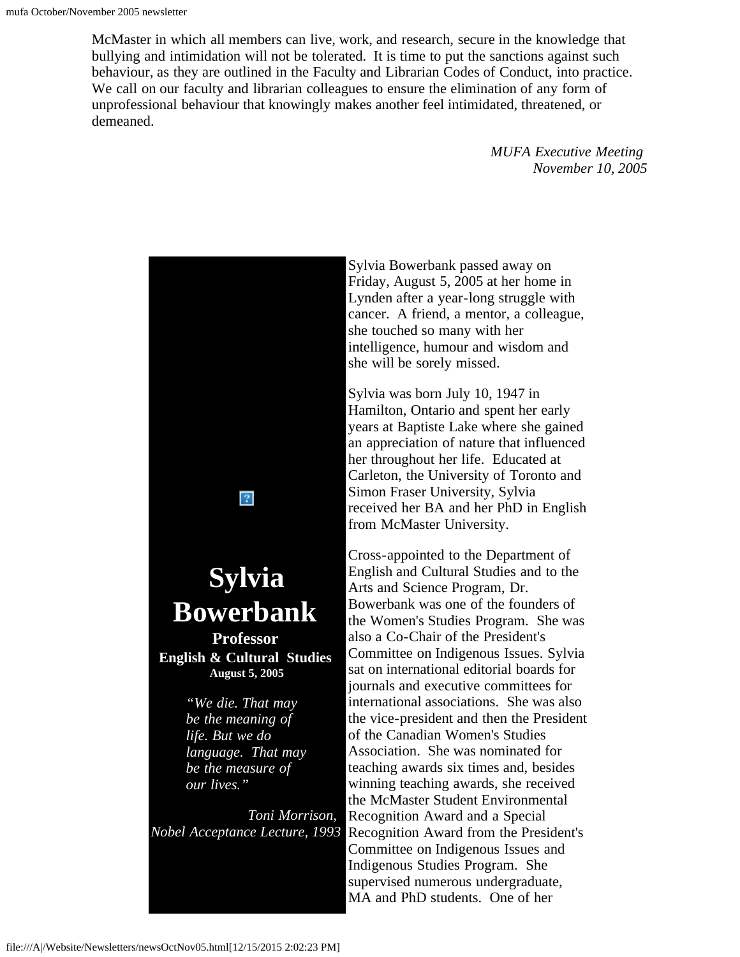McMaster in which all members can live, work, and research, secure in the knowledge that bullying and intimidation will not be tolerated. It is time to put the sanctions against such behaviour, as they are outlined in the Faculty and Librarian Codes of Conduct, into practice. We call on our faculty and librarian colleagues to ensure the elimination of any form of unprofessional behaviour that knowingly makes another feel intimidated, threatened, or demeaned.

> *MUFA Executive Meeting November 10, 2005*

<span id="page-1-0"></span>

Sylvia Bowerbank passed away on Friday, August 5, 2005 at her home in Lynden after a year-long struggle with cancer. A friend, a mentor, a colleague, she touched so many with her intelligence, humour and wisdom and she will be sorely missed.

Sylvia was born July 10, 1947 in Hamilton, Ontario and spent her early years at Baptiste Lake where she gained an appreciation of nature that influenced her throughout her life. Educated at Carleton, the University of Toronto and Simon Fraser University, Sylvia received her BA and her PhD in English from McMaster University.

Cross-appointed to the Department of English and Cultural Studies and to the Arts and Science Program, Dr. Bowerbank was one of the founders of the Women's Studies Program. She was also a Co-Chair of the President's Committee on Indigenous Issues. Sylvia sat on international editorial boards for journals and executive committees for international associations. She was also the vice-president and then the President of the Canadian Women's Studies Association. She was nominated for teaching awards six times and, besides winning teaching awards, she received the McMaster Student Environmental Recognition Award and a Special Recognition Award from the President's Committee on Indigenous Issues and Indigenous Studies Program. She supervised numerous undergraduate, MA and PhD students. One of her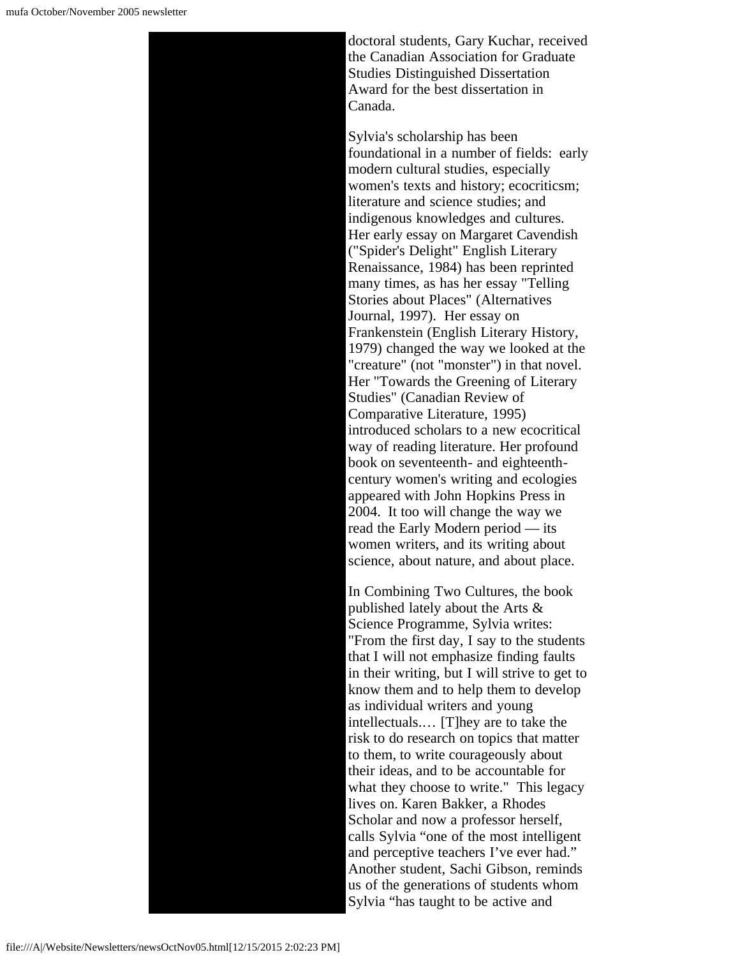doctoral students, Gary Kuchar, received the Canadian Association for Graduate Studies Distinguished Dissertation Award for the best dissertation in Canada.

Sylvia's scholarship has been foundational in a number of fields: early modern cultural studies, especially women's texts and history; ecocriticsm; literature and science studies; and indigenous knowledges and cultures. Her early essay on Margaret Cavendish ("Spider's Delight" English Literary Renaissance, 1984) has been reprinted many times, as has her essay "Telling Stories about Places" (Alternatives Journal, 1997). Her essay on Frankenstein (English Literary History, 1979) changed the way we looked at the "creature" (not "monster") in that novel. Her "Towards the Greening of Literary Studies" (Canadian Review of Comparative Literature, 1995) introduced scholars to a new ecocritical way of reading literature. Her profound book on seventeenth- and eighteenthcentury women's writing and ecologies appeared with John Hopkins Press in 2004. It too will change the way we read the Early Modern period — its women writers, and its writing about science, about nature, and about place.

In Combining Two Cultures, the book published lately about the Arts & Science Programme, Sylvia writes: "From the first day, I say to the students that I will not emphasize finding faults in their writing, but I will strive to get to know them and to help them to develop as individual writers and young intellectuals.… [T]hey are to take the risk to do research on topics that matter to them, to write courageously about their ideas, and to be accountable for what they choose to write." This legacy lives on. Karen Bakker, a Rhodes Scholar and now a professor herself, calls Sylvia "one of the most intelligent and perceptive teachers I've ever had." Another student, Sachi Gibson, reminds us of the generations of students whom Sylvia "has taught to be active and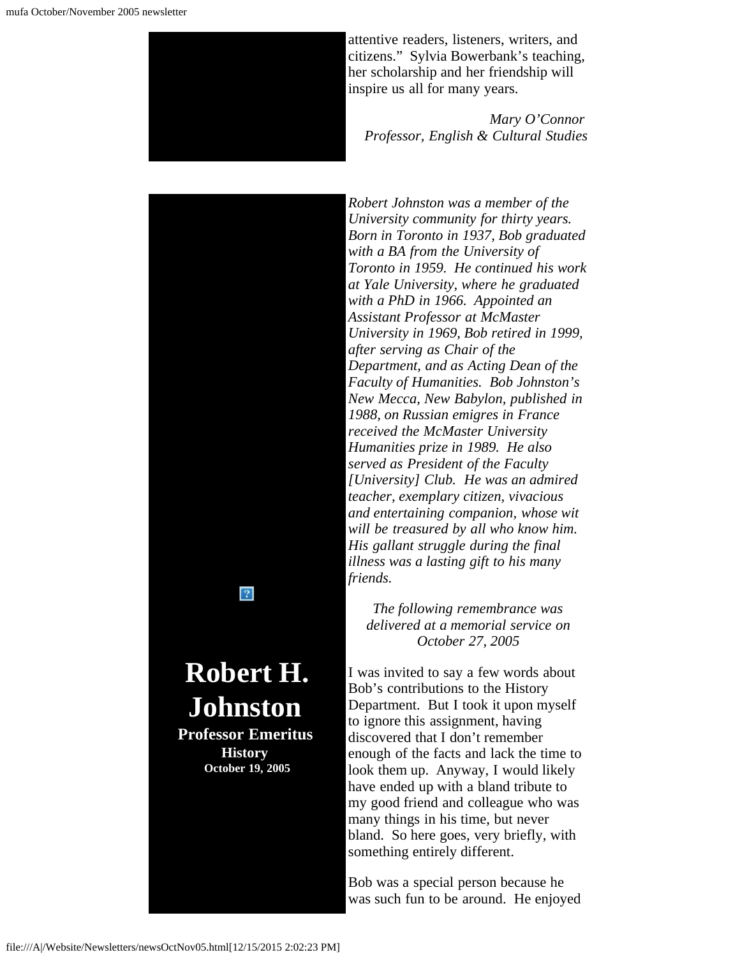<span id="page-3-0"></span>

attentive readers, listeners, writers, and citizens." Sylvia Bowerbank's teaching, her scholarship and her friendship will inspire us all for many years.

*Mary O'Connor Professor, English & Cultural Studies*

*Robert Johnston was a member of the University community for thirty years. Born in Toronto in 1937, Bob graduated with a BA from the University of Toronto in 1959. He continued his work at Yale University, where he graduated with a PhD in 1966. Appointed an Assistant Professor at McMaster University in 1969, Bob retired in 1999, after serving as Chair of the Department, and as Acting Dean of the Faculty of Humanities. Bob Johnston's New Mecca, New Babylon, published in 1988, on Russian emigres in France received the McMaster University Humanities prize in 1989. He also served as President of the Faculty [University] Club. He was an admired teacher, exemplary citizen, vivacious and entertaining companion, whose wit will be treasured by all who know him. His gallant struggle during the final illness was a lasting gift to his many friends.*

*The following remembrance was delivered at a memorial service on October 27, 2005*

I was invited to say a few words about Bob's contributions to the History Department. But I took it upon myself to ignore this assignment, having discovered that I don't remember enough of the facts and lack the time to look them up. Anyway, I would likely have ended up with a bland tribute to my good friend and colleague who was many things in his time, but never bland. So here goes, very briefly, with something entirely different.

Bob was a special person because he was such fun to be around. He enjoyed

 $\left|2\right\rangle$ 

# **Robert H. Johnston**

**Professor Emeritus History October 19, 2005**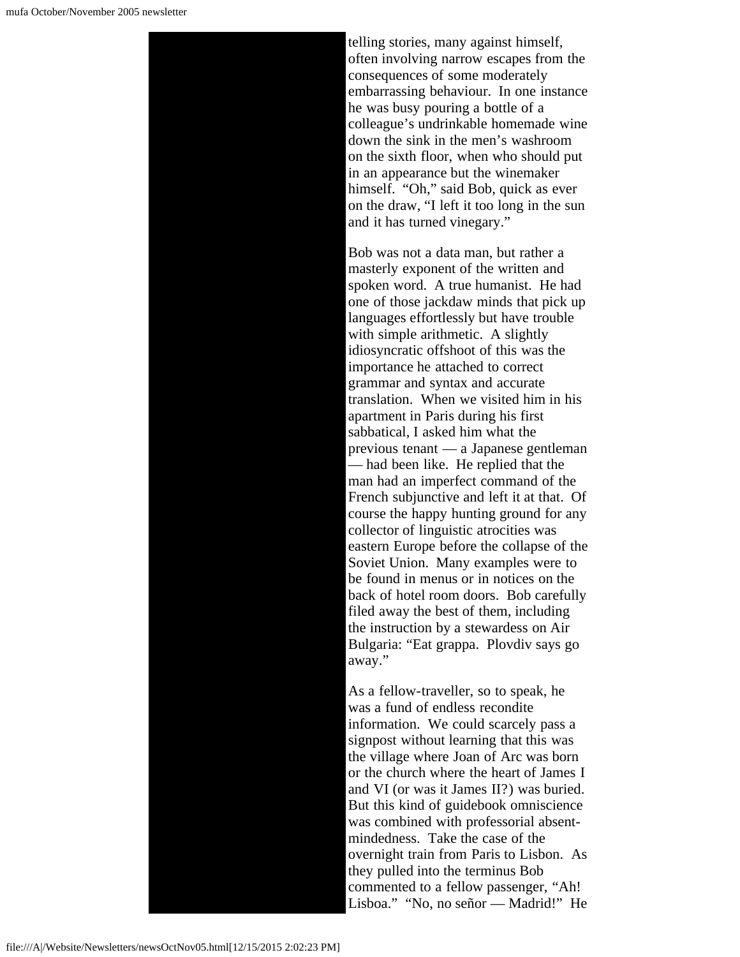

telling stories, many against himself, often involving narrow escapes from the consequences of some moderately embarrassing behaviour. In one instance he was busy pouring a bottle of a colleague's undrinkable homemade wine down the sink in the men's washroom on the sixth floor, when who should put in an appearance but the winemaker himself. "Oh," said Bob, quick as ever on the draw, "I left it too long in the sun and it has turned vinegary."

Bob was not a data man, but rather a masterly exponent of the written and spoken word. A true humanist. He had one of those jackdaw minds that pick up languages effortlessly but have trouble with simple arithmetic. A slightly idiosyncratic offshoot of this was the importance he attached to correct grammar and syntax and accurate translation. When we visited him in his apartment in Paris during his first sabbatical, I asked him what the previous tenant — a Japanese gentleman — had been like. He replied that the man had an imperfect command of the French subjunctive and left it at that. Of course the happy hunting ground for any collector of linguistic atrocities was eastern Europe before the collapse of the Soviet Union. Many examples were to be found in menus or in notices on the back of hotel room doors. Bob carefully filed away the best of them, including the instruction by a stewardess on Air Bulgaria: "Eat grappa. Plovdiv says go away."

As a fellow-traveller, so to speak, he was a fund of endless recondite information. We could scarcely pass a signpost without learning that this was the village where Joan of Arc was born or the church where the heart of James I and VI (or was it James II?) was buried. But this kind of guidebook omniscience was combined with professorial absentmindedness. Take the case of the overnight train from Paris to Lisbon. As they pulled into the terminus Bob commented to a fellow passenger, "Ah! Lisboa." "No, no señor — Madrid!" He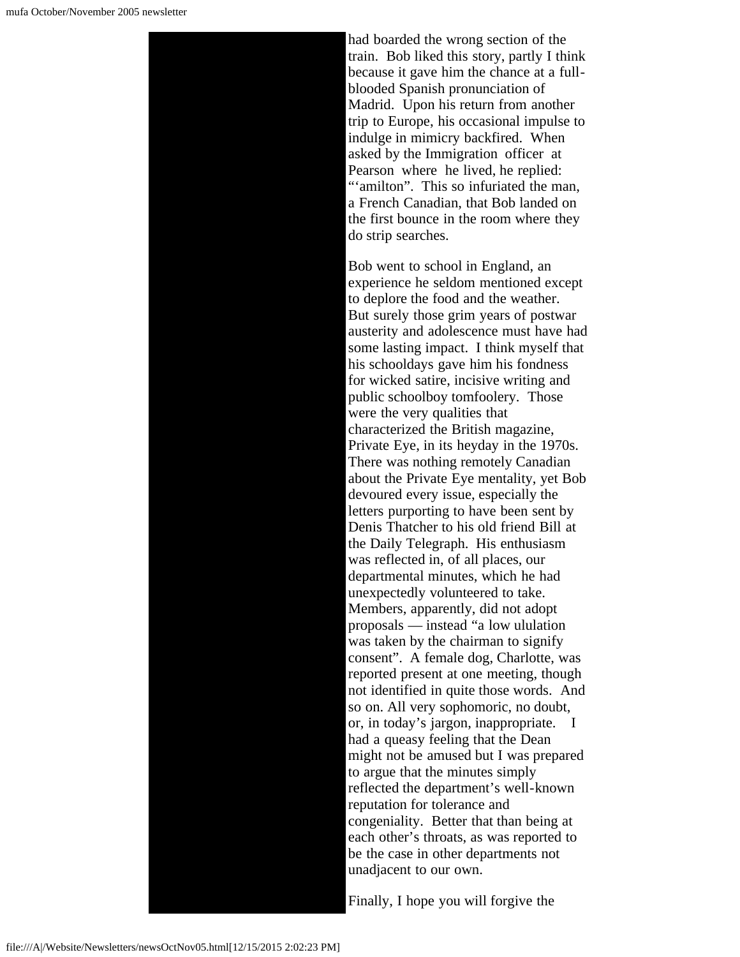

had boarded the wrong section of the train. Bob liked this story, partly I think because it gave him the chance at a fullblooded Spanish pronunciation of Madrid. Upon his return from another trip to Europe, his occasional impulse to indulge in mimicry backfired. When asked by the Immigration officer at Pearson where he lived, he replied: ""amilton". This so infuriated the man, a French Canadian, that Bob landed on the first bounce in the room where they do strip searches.

Bob went to school in England, an experience he seldom mentioned except to deplore the food and the weather. But surely those grim years of postwar austerity and adolescence must have had some lasting impact. I think myself that his schooldays gave him his fondness for wicked satire, incisive writing and public schoolboy tomfoolery. Those were the very qualities that characterized the British magazine, Private Eye, in its heyday in the 1970s. There was nothing remotely Canadian about the Private Eye mentality, yet Bob devoured every issue, especially the letters purporting to have been sent by Denis Thatcher to his old friend Bill at the Daily Telegraph. His enthusiasm was reflected in, of all places, our departmental minutes, which he had unexpectedly volunteered to take. Members, apparently, did not adopt proposals — instead "a low ululation was taken by the chairman to signify consent". A female dog, Charlotte, was reported present at one meeting, though not identified in quite those words. And so on. All very sophomoric, no doubt, or, in today's jargon, inappropriate. I had a queasy feeling that the Dean might not be amused but I was prepared to argue that the minutes simply reflected the department's well-known reputation for tolerance and congeniality. Better that than being at each other's throats, as was reported to be the case in other departments not unadjacent to our own.

Finally, I hope you will forgive the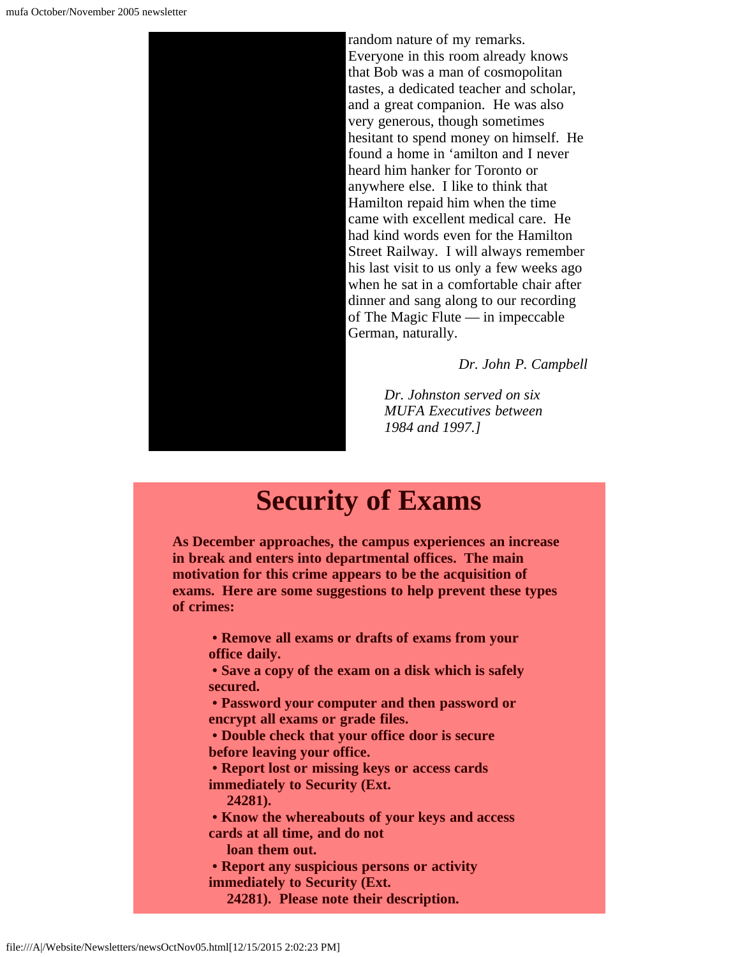

random nature of my remarks. Everyone in this room already knows that Bob was a man of cosmopolitan tastes, a dedicated teacher and scholar, and a great companion. He was also very generous, though sometimes hesitant to spend money on himself. He found a home in 'amilton and I never heard him hanker for Toronto or anywhere else. I like to think that Hamilton repaid him when the time came with excellent medical care. He had kind words even for the Hamilton Street Railway. I will always remember his last visit to us only a few weeks ago when he sat in a comfortable chair after dinner and sang along to our recording of The Magic Flute — in impeccable German, naturally.

*Dr. John P. Campbell*

*Dr. Johnston served on six MUFA Executives between 1984 and 1997.]*

## **Security of Exams**

<span id="page-6-0"></span>**As December approaches, the campus experiences an increase in break and enters into departmental offices. The main motivation for this crime appears to be the acquisition of exams. Here are some suggestions to help prevent these types of crimes:**

**• Remove all exams or drafts of exams from your office daily.**

**• Save a copy of the exam on a disk which is safely secured.**

**• Password your computer and then password or encrypt all exams or grade files.**

**• Double check that your office door is secure before leaving your office.**

**• Report lost or missing keys or access cards immediately to Security (Ext.**

 **24281).**

**• Know the whereabouts of your keys and access cards at all time, and do not**

 **loan them out.**

**• Report any suspicious persons or activity**

**immediately to Security (Ext.**

 **24281). Please note their description.**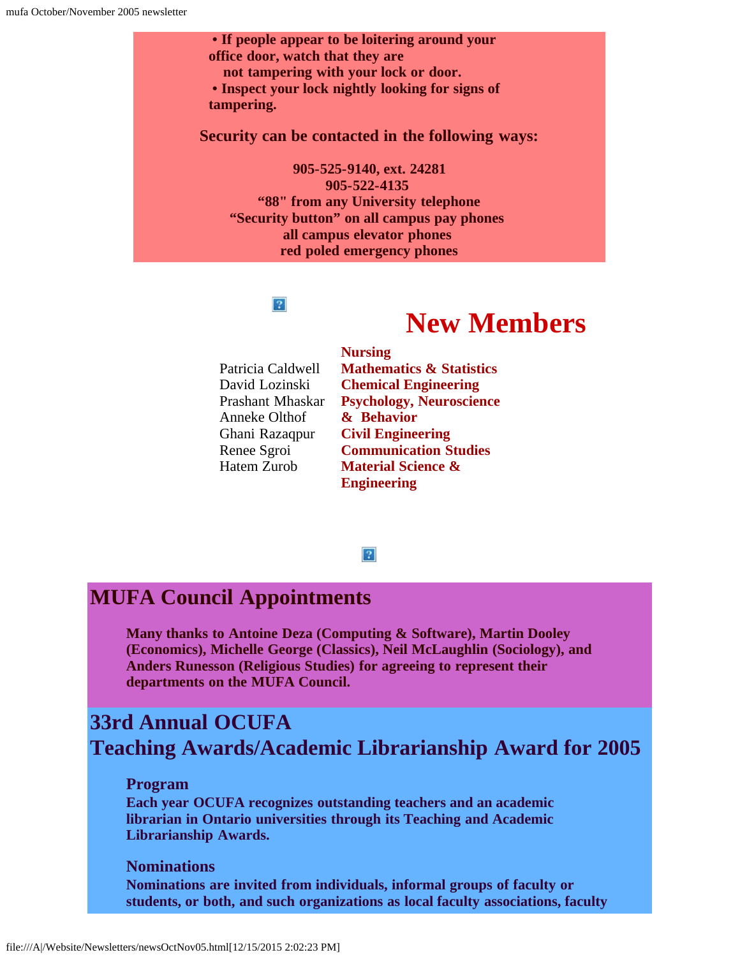**• If people appear to be loitering around your office door, watch that they are**

 **not tampering with your lock or door.**

**• Inspect your lock nightly looking for signs of tampering.**

**Security can be contacted in the following ways:**

**905-525-9140, ext. 24281 905-522-4135 "88" from any University telephone "Security button" on all campus pay phones all campus elevator phones red poled emergency phones**

**Nursing**

#### $|2\rangle$

## **New Members**

<span id="page-7-0"></span>Patricia Caldwell David Lozinski Prashant Mhaskar Anneke Olthof Ghani Razaqpur Renee Sgroi Hatem Zurob

**Mathematics & Statistics Chemical Engineering Psychology, Neuroscience & Behavior Civil Engineering Communication Studies Material Science & Engineering**

#### $|2|$

### <span id="page-7-1"></span>**MUFA Council Appointments**

**Many thanks to Antoine Deza (Computing & Software), Martin Dooley (Economics), Michelle George (Classics), Neil McLaughlin (Sociology), and Anders Runesson (Religious Studies) for agreeing to represent their departments on the MUFA Council.**

## **33rd Annual OCUFA Teaching Awards/Academic Librarianship Award for 2005**

#### **Program**

**Each year OCUFA recognizes outstanding teachers and an academic librarian in Ontario universities through its Teaching and Academic Librarianship Awards.**

#### **Nominations**

**Nominations are invited from individuals, informal groups of faculty or students, or both, and such organizations as local faculty associations, faculty**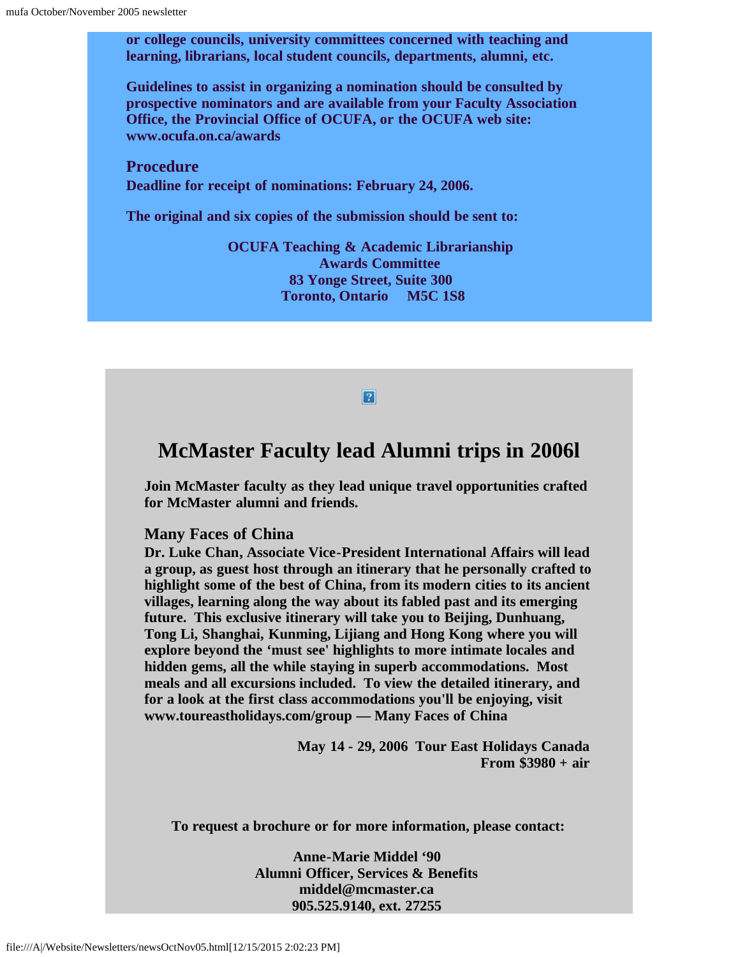**or college councils, university committees concerned with teaching and learning, librarians, local student councils, departments, alumni, etc.**

**Guidelines to assist in organizing a nomination should be consulted by prospective nominators and are available from your Faculty Association Office, the Provincial Office of OCUFA, or the OCUFA web site: www.ocufa.on.ca/awards**

**Procedure Deadline for receipt of nominations: February 24, 2006.**

**The original and six copies of the submission should be sent to:**

 **OCUFA Teaching & Academic Librarianship Awards Committee 83 Yonge Street, Suite 300 Toronto, Ontario M5C 1S8**

#### $\vert$  2

### <span id="page-8-0"></span>**McMaster Faculty lead Alumni trips in 2006l**

**Join McMaster faculty as they lead unique travel opportunities crafted for McMaster alumni and friends.**

#### **Many Faces of China**

**Dr. Luke Chan, Associate Vice-President International Affairs will lead a group, as guest host through an itinerary that he personally crafted to highlight some of the best of China, from its modern cities to its ancient villages, learning along the way about its fabled past and its emerging future. This exclusive itinerary will take you to Beijing, Dunhuang, Tong Li, Shanghai, Kunming, Lijiang and Hong Kong where you will explore beyond the 'must see' highlights to more intimate locales and hidden gems, all the while staying in superb accommodations. Most meals and all excursions included. To view the detailed itinerary, and for a look at the first class accommodations you'll be enjoying, visit www.toureastholidays.com/group — Many Faces of China**

> **May 14 - 29, 2006 Tour East Holidays Canada From \$3980 + air**

**To request a brochure or for more information, please contact:**

**Anne-Marie Middel '90 Alumni Officer, Services & Benefits middel@mcmaster.ca 905.525.9140, ext. 27255**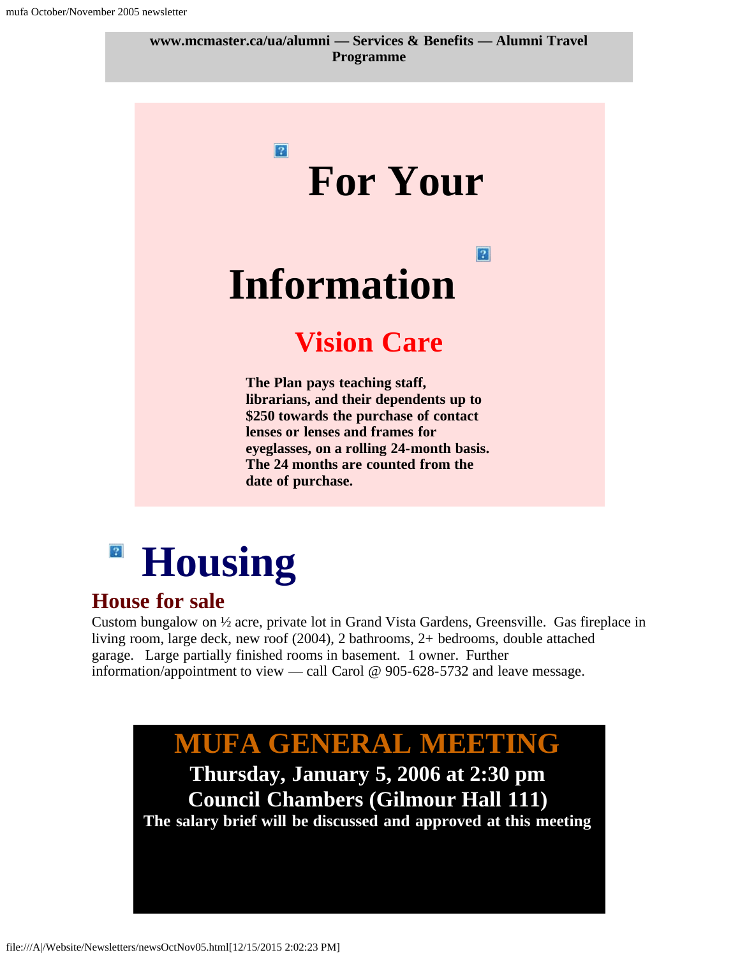<span id="page-9-0"></span>

## $\vert$  ? **Housing**

### <span id="page-9-1"></span>**House for sale**

<span id="page-9-2"></span>Custom bungalow on ½ acre, private lot in Grand Vista Gardens, Greensville. Gas fireplace in living room, large deck, new roof (2004), 2 bathrooms, 2+ bedrooms, double attached garage. Large partially finished rooms in basement. 1 owner. Further information/appointment to view — call Carol @ 905-628-5732 and leave message.

## **MUFA GENERAL MEETING**

**Thursday, January 5, 2006 at 2:30 pm Council Chambers (Gilmour Hall 111) The salary brief will be discussed and approved at this meeting**